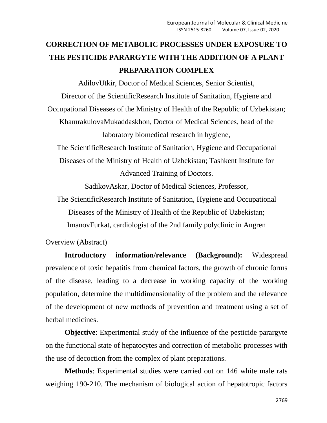## **CORRECTION OF METABOLIC PROCESSES UNDER EXPOSURE TO THE PESTICIDE PARARGYTE WITH THE ADDITION OF A PLANT PREPARATION COMPLEX**

AdilovUtkir, Doctor of Medical Sciences, Senior Scientist, Director of the ScientificResearch Institute of Sanitation, Hygiene and Occupational Diseases of the Ministry of Health of the Republic of Uzbekistan; KhamrakulovaMukaddaskhon, Doctor of Medical Sciences, head of the laboratory biomedical research in hygiene, The ScientificResearch Institute of Sanitation, Hygiene and Occupational Diseases of the Ministry of Health of Uzbekistan; Tashkent Institute for Advanced Training of Doctors. SadikovAskar, Doctor of Medical Sciences, Professor,

The ScientificResearch Institute of Sanitation, Hygiene and Occupational Diseases of the Ministry of Health of the Republic of Uzbekistan; ImanovFurkat, cardiologist of the 2nd family polyclinic in Angren

Overview (Abstract)

**Introductory information/relevance (Background):** Widespread prevalence of toxic hepatitis from chemical factors, the growth of chronic forms of the disease, leading to a decrease in working capacity of the working population, determine the multidimensionality of the problem and the relevance of the development of new methods of prevention and treatment using a set of herbal medicines.

**Objective**: Experimental study of the influence of the pesticide parargyte on the functional state of hepatocytes and correction of metabolic processes with the use of decoction from the complex of plant preparations.

**Methods**: Experimental studies were carried out on 146 white male rats weighing 190-210. The mechanism of biological action of hepatotropic factors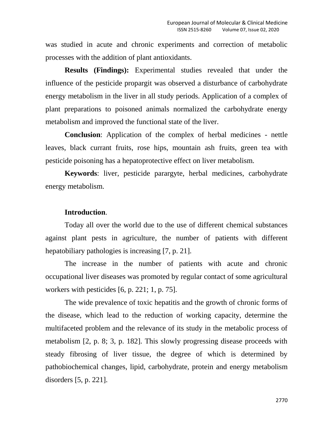was studied in acute and chronic experiments and correction of metabolic processes with the addition of plant antioxidants.

**Results (Findings):** Experimental studies revealed that under the influence of the pesticide propargit was observed a disturbance of carbohydrate energy metabolism in the liver in all study periods. Application of a complex of plant preparations to poisoned animals normalized the carbohydrate energy metabolism and improved the functional state of the liver.

**Conclusion**: Application of the complex of herbal medicines - nettle leaves, black currant fruits, rose hips, mountain ash fruits, green tea with pesticide poisoning has a hepatoprotective effect on liver metabolism.

**Keywords**: liver, pesticide parargyte, herbal medicines, carbohydrate energy metabolism.

## **Introduction**.

Today all over the world due to the use of different chemical substances against plant pests in agriculture, the number of patients with different hepatobiliary pathologies is increasing [7, p. 21].

The increase in the number of patients with acute and chronic occupational liver diseases was promoted by regular contact of some agricultural workers with pesticides [6, p. 221; 1, p. 75].

The wide prevalence of toxic hepatitis and the growth of chronic forms of the disease, which lead to the reduction of working capacity, determine the multifaceted problem and the relevance of its study in the metabolic process of metabolism [2, p. 8; 3, p. 182]. This slowly progressing disease proceeds with steady fibrosing of liver tissue, the degree of which is determined by pathobiochemical changes, lipid, carbohydrate, protein and energy metabolism disorders [5, p. 221].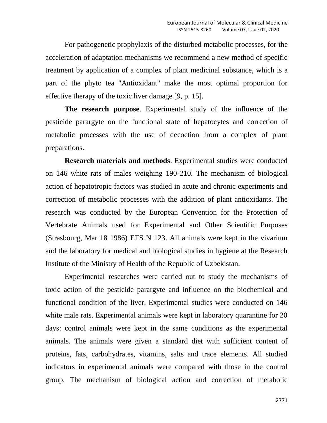For pathogenetic prophylaxis of the disturbed metabolic processes, for the acceleration of adaptation mechanisms we recommend a new method of specific treatment by application of a complex of plant medicinal substance, which is a part of the phyto tea "Antioxidant" make the most optimal proportion for effective therapy of the toxic liver damage [9, p. 15].

**The research purpose**. Experimental study of the influence of the pesticide parargyte on the functional state of hepatocytes and correction of metabolic processes with the use of decoction from a complex of plant preparations.

**Research materials and methods**. Experimental studies were conducted on 146 white rats of males weighing 190-210. The mechanism of biological action of hepatotropic factors was studied in acute and chronic experiments and correction of metabolic processes with the addition of plant antioxidants. The research was conducted by the European Convention for the Protection of Vertebrate Animals used for Experimental and Other Scientific Purposes (Strasbourg, Mar 18 1986) ETS N 123. All animals were kept in the vivarium and the laboratory for medical and biological studies in hygiene at the Research Institute of the Ministry of Health of the Republic of Uzbekistan.

Experimental researches were carried out to study the mechanisms of toxic action of the pesticide parargyte and influence on the biochemical and functional condition of the liver. Experimental studies were conducted on 146 white male rats. Experimental animals were kept in laboratory quarantine for 20 days: control animals were kept in the same conditions as the experimental animals. The animals were given a standard diet with sufficient content of proteins, fats, carbohydrates, vitamins, salts and trace elements. All studied indicators in experimental animals were compared with those in the control group. The mechanism of biological action and correction of metabolic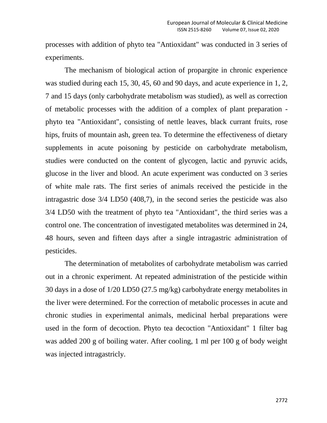processes with addition of phyto tea "Antioxidant" was conducted in 3 series of experiments.

The mechanism of biological action of propargite in chronic experience was studied during each 15, 30, 45, 60 and 90 days, and acute experience in 1, 2, 7 and 15 days (only carbohydrate metabolism was studied), as well as correction of metabolic processes with the addition of a complex of plant preparation phyto tea "Antioxidant", consisting of nettle leaves, black currant fruits, rose hips, fruits of mountain ash, green tea. To determine the effectiveness of dietary supplements in acute poisoning by pesticide on carbohydrate metabolism, studies were conducted on the content of glycogen, lactic and pyruvic acids, glucose in the liver and blood. An acute experiment was conducted on 3 series of white male rats. The first series of animals received the pesticide in the intragastric dose 3/4 LD50 (408,7), in the second series the pesticide was also 3/4 LD50 with the treatment of phyto tea "Antioxidant", the third series was a control one. The concentration of investigated metabolites was determined in 24, 48 hours, seven and fifteen days after a single intragastric administration of pesticides.

The determination of metabolites of carbohydrate metabolism was carried out in a chronic experiment. At repeated administration of the pesticide within 30 days in a dose of 1/20 LD50 (27.5 mg/kg) carbohydrate energy metabolites in the liver were determined. For the correction of metabolic processes in acute and chronic studies in experimental animals, medicinal herbal preparations were used in the form of decoction. Phyto tea decoction "Antioxidant" 1 filter bag was added 200 g of boiling water. After cooling, 1 ml per 100 g of body weight was injected intragastricly.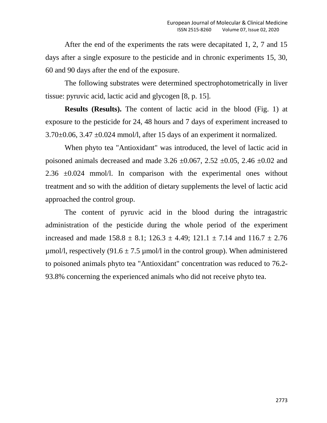After the end of the experiments the rats were decapitated 1, 2, 7 and 15 days after a single exposure to the pesticide and in chronic experiments 15, 30, 60 and 90 days after the end of the exposure.

The following substrates were determined spectrophotometrically in liver tissue: pyruvic acid, lactic acid and glycogen [8, p. 15].

**Results (Results).** The content of lactic acid in the blood (Fig. 1) at exposure to the pesticide for 24, 48 hours and 7 days of experiment increased to  $3.70\pm0.06$ ,  $3.47\pm0.024$  mmol/l, after 15 days of an experiment it normalized.

When phyto tea "Antioxidant" was introduced, the level of lactic acid in poisoned animals decreased and made 3.26  $\pm$ 0.067, 2.52  $\pm$ 0.05, 2.46  $\pm$ 0.02 and 2.36 ±0.024 mmol/l. In comparison with the experimental ones without treatment and so with the addition of dietary supplements the level of lactic acid approached the control group.

The content of pyruvic acid in the blood during the intragastric administration of the pesticide during the whole period of the experiment increased and made  $158.8 \pm 8.1$ ;  $126.3 \pm 4.49$ ;  $121.1 \pm 7.14$  and  $116.7 \pm 2.76$  $\mu$ mol/l, respectively (91.6  $\pm$  7.5  $\mu$ mol/l in the control group). When administered to poisoned animals phyto tea "Antioxidant" concentration was reduced to 76.2- 93.8% concerning the experienced animals who did not receive phyto tea.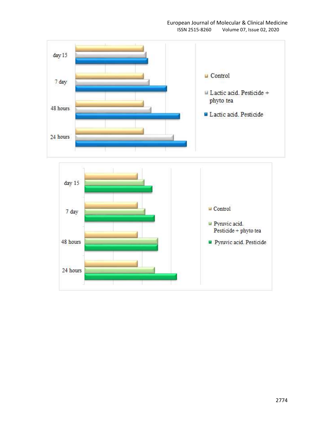

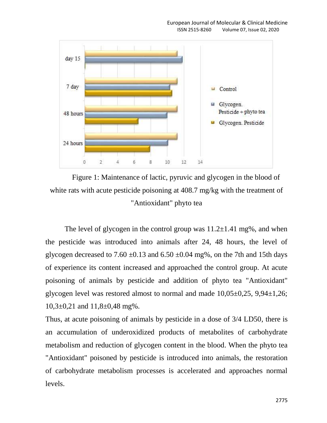

Figure 1: Maintenance of lactic, pyruvic and glycogen in the blood of white rats with acute pesticide poisoning at 408.7 mg/kg with the treatment of "Antioxidant" phyto tea

The level of glycogen in the control group was  $11.2\pm1.41$  mg%, and when the pesticide was introduced into animals after 24, 48 hours, the level of glycogen decreased to 7.60  $\pm$ 0.13 and 6.50  $\pm$ 0.04 mg%, on the 7th and 15th days of experience its content increased and approached the control group. At acute poisoning of animals by pesticide and addition of phyto tea "Antioxidant" glycogen level was restored almost to normal and made  $10,05\pm0,25,9,94\pm1,26;$  $10,3\pm0,21$  and  $11,8\pm0,48$  mg%.

Thus, at acute poisoning of animals by pesticide in a dose of 3/4 LD50, there is an accumulation of underoxidized products of metabolites of carbohydrate metabolism and reduction of glycogen content in the blood. When the phyto tea "Antioxidant" poisoned by pesticide is introduced into animals, the restoration of carbohydrate metabolism processes is accelerated and approaches normal levels.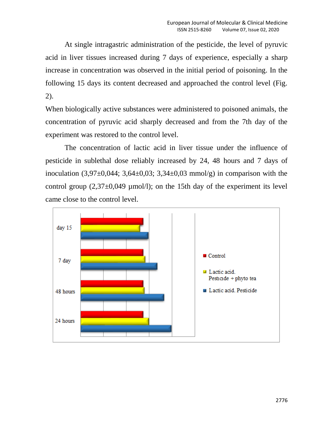At single intragastric administration of the pesticide, the level of pyruvic acid in liver tissues increased during 7 days of experience, especially a sharp increase in concentration was observed in the initial period of poisoning. In the following 15 days its content decreased and approached the control level (Fig. 2).

When biologically active substances were administered to poisoned animals, the concentration of pyruvic acid sharply decreased and from the 7th day of the experiment was restored to the control level.

The concentration of lactic acid in liver tissue under the influence of pesticide in sublethal dose reliably increased by 24, 48 hours and 7 days of inoculation  $(3,97\pm0,044; 3,64\pm0,03; 3,34\pm0,03 \text{ mmol/g})$  in comparison with the control group  $(2,37\pm0,049 \text{ }\mu\text{mol/l})$ ; on the 15th day of the experiment its level came close to the control level.

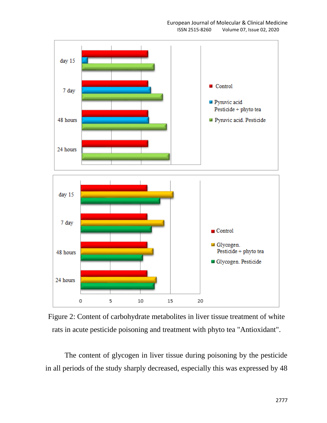

Figure 2: Content of carbohydrate metabolites in liver tissue treatment of white rats in acute pesticide poisoning and treatment with phyto tea "Antioxidant".

The content of glycogen in liver tissue during poisoning by the pesticide in all periods of the study sharply decreased, especially this was expressed by 48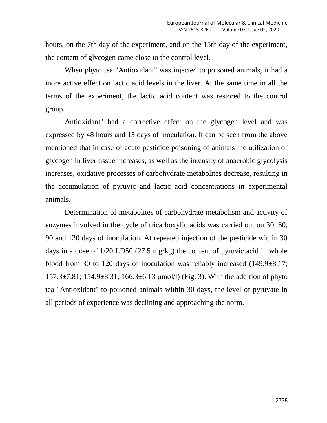hours, on the 7th day of the experiment, and on the 15th day of the experiment, the content of glycogen came close to the control level.

When phyto tea "Antioxidant" was injected to poisoned animals, it had a more active effect on lactic acid levels in the liver. At the same time in all the terms of the experiment, the lactic acid content was restored to the control group.

Antioxidant" had a corrective effect on the glycogen level and was expressed by 48 hours and 15 days of inoculation. It can be seen from the above mentioned that in case of acute pesticide poisoning of animals the utilization of glycogen in liver tissue increases, as well as the intensity of anaerobic glycolysis increases, oxidative processes of carbohydrate metabolites decrease, resulting in the accumulation of pyruvic and lactic acid concentrations in experimental animals.

Determination of metabolites of carbohydrate metabolism and activity of enzymes involved in the cycle of tricarboxylic acids was carried out on 30, 60, 90 and 120 days of inoculation. At repeated injection of the pesticide within 30 days in a dose of 1/20 LD50 (27.5 mg/kg) the content of pyruvic acid in whole blood from 30 to 120 days of inoculation was reliably increased (149.9±8.17;  $157.3\pm7.81$ ;  $154.9\pm8.31$ ;  $166.3\pm6.13 \text{ \mu}$  mol/l) (Fig. 3). With the addition of phyto tea "Antioxidant" to poisoned animals within 30 days, the level of pyruvate in all periods of experience was declining and approaching the norm.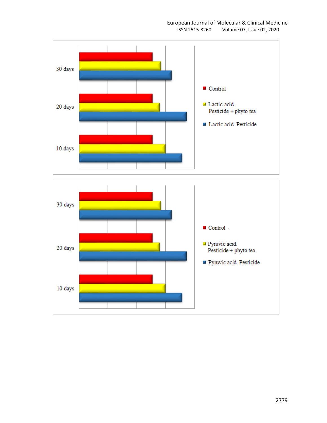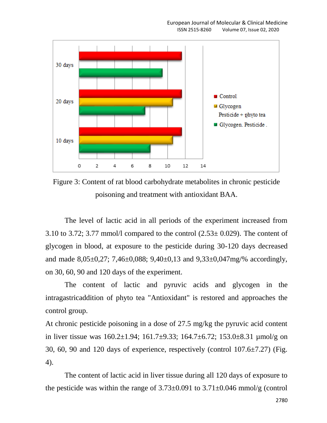

Figure 3: Content of rat blood carbohydrate metabolites in chronic pesticide poisoning and treatment with antioxidant BAA.

The level of lactic acid in all periods of the experiment increased from 3.10 to 3.72; 3.77 mmol/l compared to the control  $(2.53 \pm 0.029)$ . The content of glycogen in blood, at exposure to the pesticide during 30-120 days decreased and made 8,05±0,27; 7,46±0,088; 9,40±0,13 and 9,33±0,047mg/% accordingly, on 30, 60, 90 and 120 days of the experiment.

The content of lactic and pyruvic acids and glycogen in the intragastricaddition of phyto tea "Antioxidant" is restored and approaches the control group.

At chronic pesticide poisoning in a dose of 27.5 mg/kg the pyruvic acid content in liver tissue was 160.2±1.94; 161.7±9.33; 164.7±6.72; 153.0±8.31 µmol/g on 30, 60, 90 and 120 days of experience, respectively (control 107.6±7.27) (Fig. 4).

The content of lactic acid in liver tissue during all 120 days of exposure to the pesticide was within the range of  $3.73\pm0.091$  to  $3.71\pm0.046$  mmol/g (control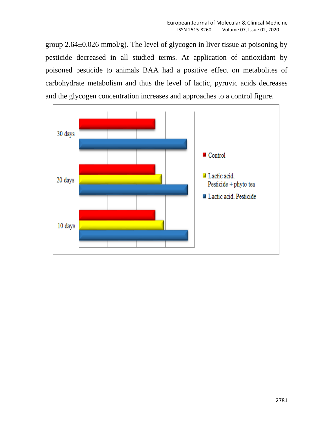group  $2.64\pm0.026$  mmol/g). The level of glycogen in liver tissue at poisoning by pesticide decreased in all studied terms. At application of antioxidant by poisoned pesticide to animals BAA had a positive effect on metabolites of carbohydrate metabolism and thus the level of lactic, pyruvic acids decreases and the glycogen concentration increases and approaches to a control figure.

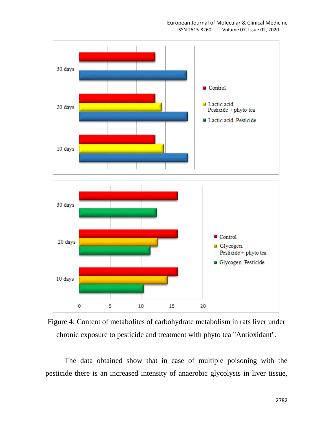



The data obtained show that in case of multiple poisoning with the pesticide there is an increased intensity of anaerobic glycolysis in liver tissue,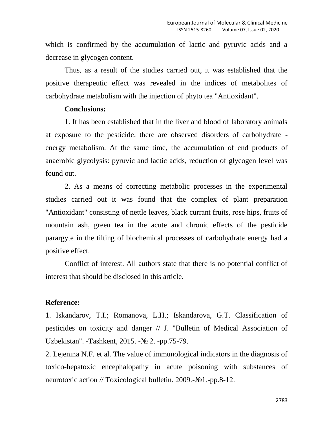which is confirmed by the accumulation of lactic and pyruvic acids and a decrease in glycogen content.

Thus, as a result of the studies carried out, it was established that the positive therapeutic effect was revealed in the indices of metabolites of carbohydrate metabolism with the injection of phyto tea "Antioxidant".

## **Conclusions:**

1. It has been established that in the liver and blood of laboratory animals at exposure to the pesticide, there are observed disorders of carbohydrate energy metabolism. At the same time, the accumulation of end products of anaerobic glycolysis: pyruvic and lactic acids, reduction of glycogen level was found out.

2. As a means of correcting metabolic processes in the experimental studies carried out it was found that the complex of plant preparation "Antioxidant" consisting of nettle leaves, black currant fruits, rose hips, fruits of mountain ash, green tea in the acute and chronic effects of the pesticide parargyte in the tilting of biochemical processes of carbohydrate energy had a positive effect.

Conflict of interest. All authors state that there is no potential conflict of interest that should be disclosed in this article.

## **Reference:**

1. Iskandarov, T.I.; Romanova, L.H.; Iskandarova, G.T. Classification of pesticides on toxicity and danger // J. "Bulletin of Medical Association of Uzbekistan". -Tashkent, 2015. -№ 2. -pp.75-79.

2. Lejenina N.F. et al. The value of immunological indicators in the diagnosis of toxico-hepatoxic encephalopathy in acute poisoning with substances of neurotoxic action // Toxicological bulletin. 2009.-№1.-pp.8-12.

2783